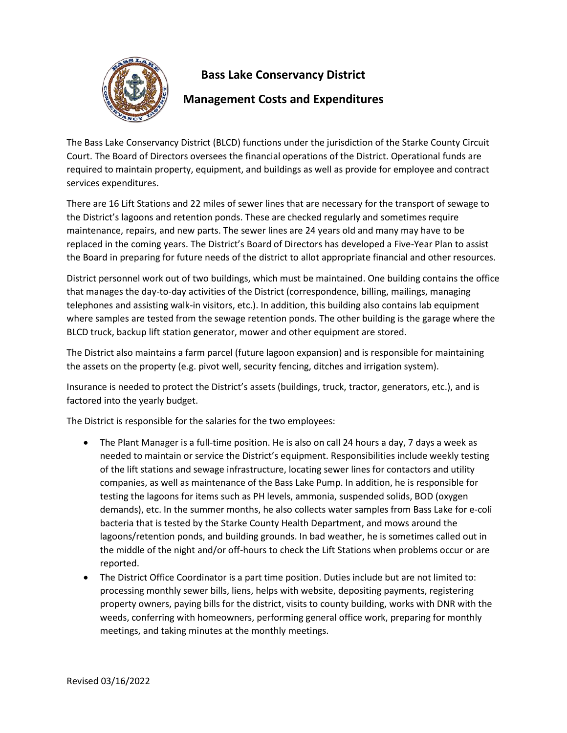

## **Bass Lake Conservancy District**

## **Management Costs and Expenditures**

The Bass Lake Conservancy District (BLCD) functions under the jurisdiction of the Starke County Circuit Court. The Board of Directors oversees the financial operations of the District. Operational funds are required to maintain property, equipment, and buildings as well as provide for employee and contract services expenditures.

There are 16 Lift Stations and 22 miles of sewer lines that are necessary for the transport of sewage to the District's lagoons and retention ponds. These are checked regularly and sometimes require maintenance, repairs, and new parts. The sewer lines are 24 years old and many may have to be replaced in the coming years. The District's Board of Directors has developed a Five-Year Plan to assist the Board in preparing for future needs of the district to allot appropriate financial and other resources.

District personnel work out of two buildings, which must be maintained. One building contains the office that manages the day-to-day activities of the District (correspondence, billing, mailings, managing telephones and assisting walk-in visitors, etc.). In addition, this building also contains lab equipment where samples are tested from the sewage retention ponds. The other building is the garage where the BLCD truck, backup lift station generator, mower and other equipment are stored.

The District also maintains a farm parcel (future lagoon expansion) and is responsible for maintaining the assets on the property (e.g. pivot well, security fencing, ditches and irrigation system).

Insurance is needed to protect the District's assets (buildings, truck, tractor, generators, etc.), and is factored into the yearly budget.

The District is responsible for the salaries for the two employees:

- The Plant Manager is a full-time position. He is also on call 24 hours a day, 7 days a week as needed to maintain or service the District's equipment. Responsibilities include weekly testing of the lift stations and sewage infrastructure, locating sewer lines for contactors and utility companies, as well as maintenance of the Bass Lake Pump. In addition, he is responsible for testing the lagoons for items such as PH levels, ammonia, suspended solids, BOD (oxygen demands), etc. In the summer months, he also collects water samples from Bass Lake for e-coli bacteria that is tested by the Starke County Health Department, and mows around the lagoons/retention ponds, and building grounds. In bad weather, he is sometimes called out in the middle of the night and/or off-hours to check the Lift Stations when problems occur or are reported.
- The District Office Coordinator is a part time position. Duties include but are not limited to: processing monthly sewer bills, liens, helps with website, depositing payments, registering property owners, paying bills for the district, visits to county building, works with DNR with the weeds, conferring with homeowners, performing general office work, preparing for monthly meetings, and taking minutes at the monthly meetings.